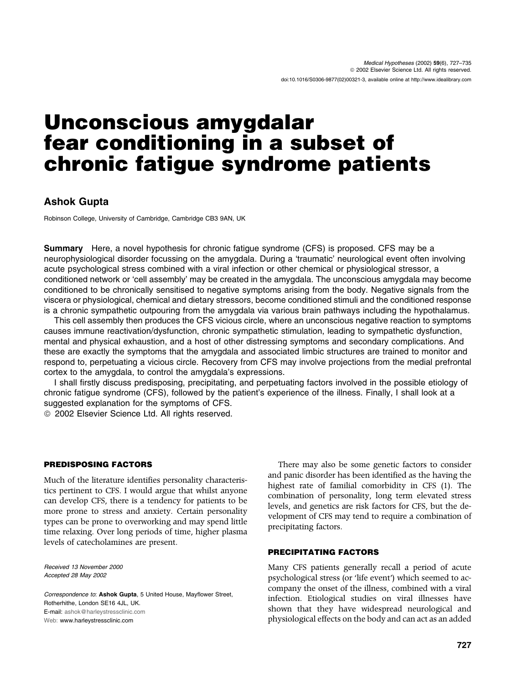# Unconscious amygdalar fear conditioning in a subset of chronic fatigue syndrome patients

## Ashok Gupta

Robinson College, University of Cambridge, Cambridge CB3 9AN, UK

**Summary** Here, a novel hypothesis for chronic fatique syndrome (CFS) is proposed. CFS may be a neurophysiological disorder focussing on the amygdala. During a 'traumatic' neurological event often involving acute psychological stress combined with a viral infection or other chemical or physiological stressor, a conditioned network or 'cell assembly' may be created in the amygdala. The unconscious amygdala may become conditioned to be chronically sensitised to negative symptoms arising from the body. Negative signals from the viscera or physiological, chemical and dietary stressors, become conditioned stimuli and the conditioned response is a chronic sympathetic outpouring from the amygdala via various brain pathways including the hypothalamus.

This cell assembly then produces the CFS vicious circle, where an unconscious negative reaction to symptoms causes immune reactivation/dysfunction, chronic sympathetic stimulation, leading to sympathetic dysfunction, mental and physical exhaustion, and a host of other distressing symptoms and secondary complications. And these are exactly the symptoms that the amygdala and associated limbic structures are trained to monitor and respond to, perpetuating a vicious circle. Recovery from CFS may involve projections from the medial prefrontal cortex to the amygdala, to control the amygdala's expressions.

I shall firstly discuss predisposing, precipitating, and perpetuating factors involved in the possible etiology of chronic fatigue syndrome (CFS), followed by the patient's experience of the illness. Finally, I shall look at a suggested explanation for the symptoms of CFS.

© 2002 Elsevier Science Ltd. All rights reserved.

#### PREDISPOSING FACTORS

Much of the literature identifies personality characteristics pertinent to CFS. I would argue that whilst anyone can develop CFS, there is a tendency for patients to be more prone to stress and anxiety. Certain personality types can be prone to overworking and may spend little time relaxing. Over long periods of time, higher plasma levels of catecholamines are present.

Received 13 November 2000 Accepted 28 May 2002

Correspondence to: Ashok Gupta, 5 United House, Mayflower Street, Rotherhithe, London SE16 4JL, UK. E-mail: [ashok@harleystressclinic.com](mail to: ashok@harleystressclinic.comWeb:) [Web:](mail to: ashok@harleystressclinic.comWeb:) www.harleystressclinic.com

There may also be some genetic factors to consider and panic disorder has been identified as the having the highest rate of familial comorbidity in CFS (1). The combination of personality, long term elevated stress levels, and genetics are risk factors for CFS, but the development of CFS may tend to require a combination of precipitating factors.

#### PRECIPITATING FACTORS

Many CFS patients generally recall a period of acute psychological stress (or 'life event') which seemed to accompany the onset of the illness, combined with a viral infection. Etiological studies on viral illnesses have shown that they have widespread neurological and physiological effects on the body and can act as an added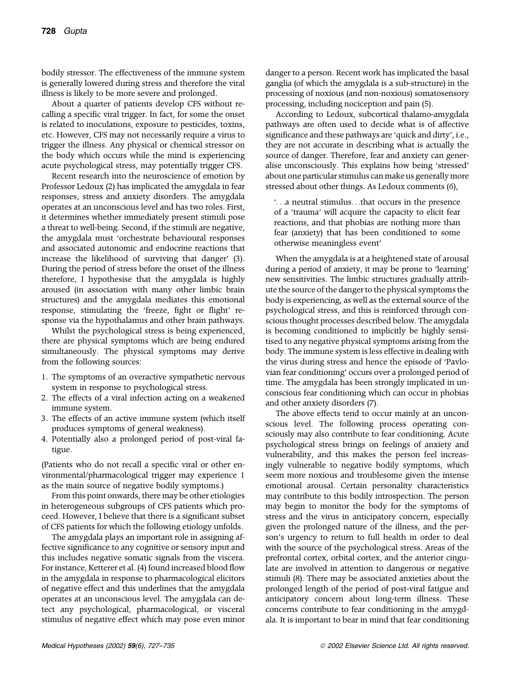bodily stressor. The effectiveness of the immune system is generally lowered during stress and therefore the viral illness is likely to be more severe and prolonged.

About a quarter of patients develop CFS without recalling a specific viral trigger. In fact, for some the onset is related to inoculations, exposure to pesticides, toxins, etc. However, CFS may not necessarily require a virus to trigger the illness. Any physical or chemical stressor on the body which occurs while the mind is experiencing acute psychological stress, may potentially trigger CFS.

Recent research into the neuroscience of emotion by Professor Ledoux (2) has implicated the amygdala in fear responses, stress and anxiety disorders. The amygdala operates at an unconscious level and has two roles. First, it determines whether immediately present stimuli pose a threat to well-being. Second, if the stimuli are negative, the amygdala must 'orchestrate behavioural responses and associated autonomic and endocrine reactions that increase the likelihood of surviving that danger' (3). During the period of stress before the onset of the illness therefore, I hypothesise that the amygdala is highly aroused (in association with many other limbic brain structures) and the amygdala mediates this emotional response, stimulating the 'freeze, fight or flight' response via the hypothalamus and other brain pathways.

Whilst the psychological stress is being experienced, there are physical symptoms which are being endured simultaneously. The physical symptoms may derive from the following sources:

- 1. The symptoms of an overactive sympathetic nervous system in response to psychological stress.
- 2. The effects of a viral infection acting on a weakened immune system.
- 3. The effects of an active immune system (which itself produces symptoms of general weakness).
- 4. Potentially also a prolonged period of post-viral fatigue.

(Patients who do not recall a specific viral or other environmental/pharmacological trigger may experience 1 as the main source of negative bodily symptoms.)

From this point onwards, there may be other etiologies in heterogeneous subgroups of CFS patients which proceed. However, I believe that there is a significant subset of CFS patients for which the following etiology unfolds.

The amygdala plays an important role in assigning affective significance to any cognitive or sensory input and this includes negative somatic signals from the viscera. For instance, Ketterer et al. (4) found increased blood flow in the amygdala in response to pharmacological elicitors of negative effect and this underlines that the amygdala operates at an unconscious level. The amygdala can detect any psychological, pharmacological, or visceral stimulus of negative effect which may pose even minor danger to a person. Recent work has implicated the basal ganglia (of which the amygdala is a sub-structure) in the processing of noxious (and non-noxious) somatosensory processing, including nociception and pain (5).

According to Ledoux, subcortical thalamo-amygdala pathways are often used to decide what is of affective significance and these pathways are 'quick and dirty', i.e., they are not accurate in describing what is actually the source of danger. Therefore, fear and anxiety can generalise unconsciously. This explains how being 'stressed' about one particular stimulus can make us generally more stressed about other things. As Ledoux comments (6),

'...a neutral stimulus...that occurs in the presence of a 'trauma' will acquire the capacity to elicit fear reactions, and that phobias are nothing more than fear (anxiety) that has been conditioned to some otherwise meaningless event'

When the amygdala is at a heightened state of arousal during a period of anxiety, it may be prone to 'learning' new sensitivities. The limbic structures gradually attribute the source of the danger to the physical symptoms the body is experiencing, as well as the external source of the psychological stress, and this is reinforced through conscious thought processes described below. The amygdala is becoming conditioned to implicitly be highly sensitised to any negative physical symptoms arising from the body. The immune system is less effective in dealing with the virus during stress and hence the episode of 'Pavlovian fear conditioning' occurs over a prolonged period of time. The amygdala has been strongly implicated in unconscious fear conditioning which can occur in phobias and other anxiety disorders (7).

The above effects tend to occur mainly at an unconscious level. The following process operating consciously may also contribute to fear conditioning. Acute psychological stress brings on feelings of anxiety and vulnerability, and this makes the person feel increasingly vulnerable to negative bodily symptoms, which seem more noxious and troublesome given the intense emotional arousal. Certain personality characteristics may contribute to this bodily introspection. The person may begin to monitor the body for the symptoms of stress and the virus in anticipatory concern, especially given the prolonged nature of the illness, and the person's urgency to return to full health in order to deal with the source of the psychological stress. Areas of the prefrontal cortex, orbital cortex, and the anterior cingulate are involved in attention to dangerous or negative stimuli (8). There may be associated anxieties about the prolonged length of the period of post-viral fatigue and anticipatory concern about long-term illness. These concerns contribute to fear conditioning in the amygdala. It is important to bear in mind that fear conditioning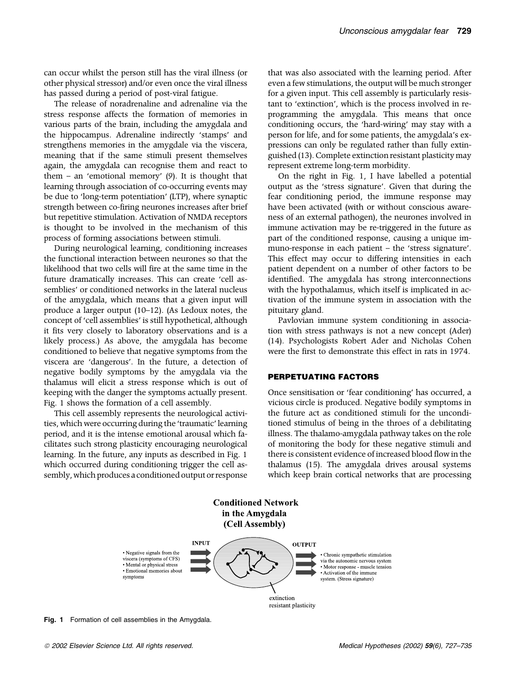can occur whilst the person still has the viral illness (or other physical stressor) and/or even once the viral illness has passed during a period of post-viral fatigue.

The release of noradrenaline and adrenaline via the stress response affects the formation of memories in various parts of the brain, including the amygdala and the hippocampus. Adrenaline indirectly 'stamps' and strengthens memories in the amygdale via the viscera, meaning that if the same stimuli present themselves again, the amygdala can recognise them and react to them – an 'emotional memory'  $(9)$ . It is thought that learning through association of co-occurring events may be due to 'long-term potentiation' (LTP), where synaptic strength between co-firing neurones increases after brief but repetitive stimulation. Activation of NMDA receptors is thought to be involved in the mechanism of this process of forming associations between stimuli.

During neurological learning, conditioning increases the functional interaction between neurones so that the likelihood that two cells will fire at the same time in the future dramatically increases. This can create 'cell assemblies' or conditioned networks in the lateral nucleus of the amygdala, which means that a given input will produce a larger output (10–12). (As Ledoux notes, the concept of 'cell assemblies' is still hypothetical, although it fits very closely to laboratory observations and is a likely process.) As above, the amygdala has become conditioned to believe that negative symptoms from the viscera are 'dangerous'. In the future, a detection of negative bodily symptoms by the amygdala via the thalamus will elicit a stress response which is out of keeping with the danger the symptoms actually present. Fig. 1 shows the formation of a cell assembly.

This cell assembly represents the neurological activities, which were occurring during the 'traumatic' learning period, and it is the intense emotional arousal which facilitates such strong plasticity encouraging neurological learning. In the future, any inputs as described in Fig. 1 which occurred during conditioning trigger the cell assembly, which produces a conditioned output or response

that was also associated with the learning period. After even a few stimulations, the output will be much stronger for a given input. This cell assembly is particularly resistant to 'extinction', which is the process involved in reprogramming the amygdala. This means that once conditioning occurs, the 'hard-wiring' may stay with a person for life, and for some patients, the amygdala's expressions can only be regulated rather than fully extinguished (13). Complete extinction resistant plasticity may represent extreme long-term morbidity.

On the right in Fig. 1, I have labelled a potential output as the 'stress signature'. Given that during the fear conditioning period, the immune response may have been activated (with or without conscious awareness of an external pathogen), the neurones involved in immune activation may be re-triggered in the future as part of the conditioned response, causing a unique immuno-response in each patient – the 'stress signature'. This effect may occur to differing intensities in each patient dependent on a number of other factors to be identified. The amygdala has strong interconnections with the hypothalamus, which itself is implicated in activation of the immune system in association with the pituitary gland.

Pavlovian immune system conditioning in association with stress pathways is not a new concept (Ader) (14). Psychologists Robert Ader and Nicholas Cohen were the first to demonstrate this effect in rats in 1974.

#### PERPETUATING FACTORS

Once sensitisation or 'fear conditioning' has occurred, a vicious circle is produced. Negative bodily symptoms in the future act as conditioned stimuli for the unconditioned stimulus of being in the throes of a debilitating illness. The thalamo-amygdala pathway takes on the role of monitoring the body for these negative stimuli and there is consistent evidence of increased blood flow in the thalamus (15). The amygdala drives arousal systems which keep brain cortical networks that are processing



Fig. 1 Formation of cell assemblies in the Amygdala.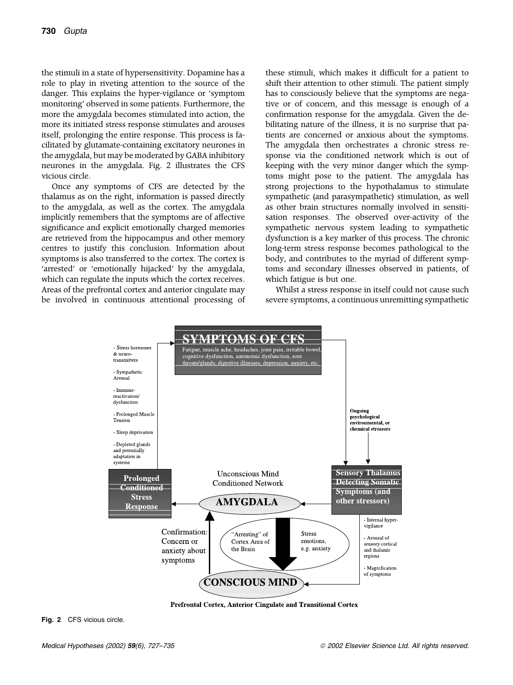the stimuli in a state of hypersensitivity. Dopamine has a role to play in riveting attention to the source of the danger. This explains the hyper-vigilance or 'symptom monitoring' observed in some patients. Furthermore, the more the amygdala becomes stimulated into action, the more its initiated stress response stimulates and arouses itself, prolonging the entire response. This process is facilitated by glutamate-containing excitatory neurones in the amygdala, but may be moderated by GABA inhibitory neurones in the amygdala. Fig. 2 illustrates the CFS vicious circle.

Once any symptoms of CFS are detected by the thalamus as on the right, information is passed directly to the amygdala, as well as the cortex. The amygdala implicitly remembers that the symptoms are of affective significance and explicit emotionally charged memories are retrieved from the hippocampus and other memory centres to justify this conclusion. Information about symptoms is also transferred to the cortex. The cortex is 'arrested' or 'emotionally hijacked' by the amygdala, which can regulate the inputs which the cortex receives. Areas of the prefrontal cortex and anterior cingulate may be involved in continuous attentional processing of these stimuli, which makes it difficult for a patient to shift their attention to other stimuli. The patient simply has to consciously believe that the symptoms are negative or of concern, and this message is enough of a confirmation response for the amygdala. Given the debilitating nature of the illness, it is no surprise that patients are concerned or anxious about the symptoms. The amygdala then orchestrates a chronic stress response via the conditioned network which is out of keeping with the very minor danger which the symptoms might pose to the patient. The amygdala has strong projections to the hypothalamus to stimulate sympathetic (and parasympathetic) stimulation, as well as other brain structures normally involved in sensitisation responses. The observed over-activity of the sympathetic nervous system leading to sympathetic dysfunction is a key marker of this process. The chronic long-term stress response becomes pathological to the body, and contributes to the myriad of different symptoms and secondary illnesses observed in patients, of which fatigue is but one.

Whilst a stress response in itself could not cause such severe symptoms, a continuous unremitting sympathetic



Prefrontal Cortex, Anterior Cingulate and Transitional Cortex

Fig. 2 CFS vicious circle.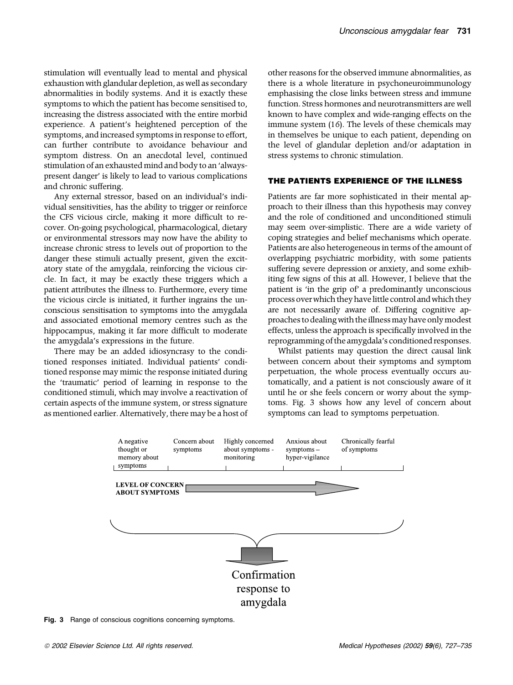stimulation will eventually lead to mental and physical exhaustion with glandular depletion, as well as secondary abnormalities in bodily systems. And it is exactly these symptoms to which the patient has become sensitised to, increasing the distress associated with the entire morbid experience. A patient's heightened perception of the symptoms, and increased symptoms in response to effort, can further contribute to avoidance behaviour and symptom distress. On an anecdotal level, continued stimulation of an exhausted mind and body to an 'alwayspresent danger' is likely to lead to various complications and chronic suffering.

Any external stressor, based on an individual's individual sensitivities, has the ability to trigger or reinforce the CFS vicious circle, making it more difficult to recover. On-going psychological, pharmacological, dietary or environmental stressors may now have the ability to increase chronic stress to levels out of proportion to the danger these stimuli actually present, given the excitatory state of the amygdala, reinforcing the vicious circle. In fact, it may be exactly these triggers which a patient attributes the illness to. Furthermore, every time the vicious circle is initiated, it further ingrains the unconscious sensitisation to symptoms into the amygdala and associated emotional memory centres such as the hippocampus, making it far more difficult to moderate the amygdala's expressions in the future.

There may be an added idiosyncrasy to the conditioned responses initiated. Individual patients' conditioned response may mimic the response initiated during the 'traumatic' period of learning in response to the conditioned stimuli, which may involve a reactivation of certain aspects of the immune system, or stress signature as mentioned earlier. Alternatively, there may be a host of other reasons for the observed immune abnormalities, as there is a whole literature in psychoneuroimmunology emphasising the close links between stress and immune function. Stress hormones and neurotransmitters are well known to have complex and wide-ranging effects on the immune system (16). The levels of these chemicals may in themselves be unique to each patient, depending on the level of glandular depletion and/or adaptation in stress systems to chronic stimulation.

## THE PATIENTS EXPERIENCE OF THE ILLNESS

Patients are far more sophisticated in their mental approach to their illness than this hypothesis may convey and the role of conditioned and unconditioned stimuli may seem over-simplistic. There are a wide variety of coping strategies and belief mechanisms which operate. Patients are also heterogeneous in terms of the amount of overlapping psychiatric morbidity, with some patients suffering severe depression or anxiety, and some exhibiting few signs of this at all. However, I believe that the patient is 'in the grip of' a predominantly unconscious process over which they have little control and which they are not necessarily aware of. Differing cognitive approaches to dealing with the illness may have only modest effects, unless the approach is specifically involved in the reprogramming of the amygdala's conditioned responses.

Whilst patients may question the direct causal link between concern about their symptoms and symptom perpetuation, the whole process eventually occurs automatically, and a patient is not consciously aware of it until he or she feels concern or worry about the symptoms. Fig. 3 shows how any level of concern about symptoms can lead to symptoms perpetuation.



Fig. 3 Range of conscious cognitions concerning symptoms.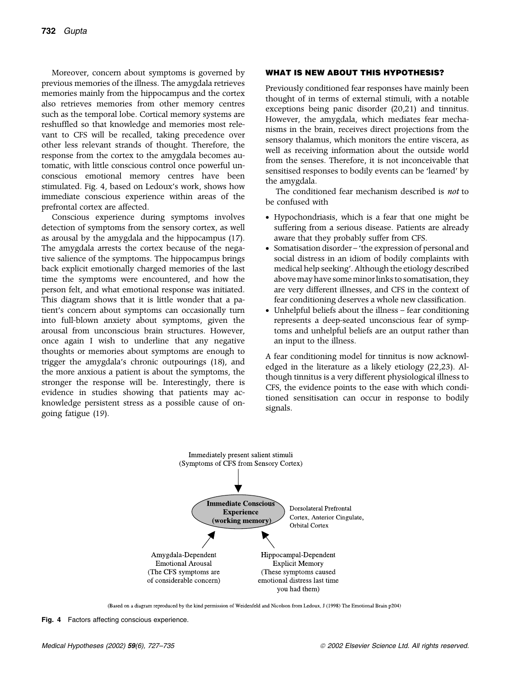Moreover, concern about symptoms is governed by previous memories of the illness. The amygdala retrieves memories mainly from the hippocampus and the cortex also retrieves memories from other memory centres such as the temporal lobe. Cortical memory systems are reshuffled so that knowledge and memories most relevant to CFS will be recalled, taking precedence over other less relevant strands of thought. Therefore, the response from the cortex to the amygdala becomes automatic, with little conscious control once powerful unconscious emotional memory centres have been stimulated. Fig. 4, based on Ledoux's work, shows how immediate conscious experience within areas of the prefrontal cortex are affected.

Conscious experience during symptoms involves detection of symptoms from the sensory cortex, as well as arousal by the amygdala and the hippocampus (17). The amygdala arrests the cortex because of the negative salience of the symptoms. The hippocampus brings back explicit emotionally charged memories of the last time the symptoms were encountered, and how the person felt, and what emotional response was initiated. This diagram shows that it is little wonder that a patient's concern about symptoms can occasionally turn into full-blown anxiety about symptoms, given the arousal from unconscious brain structures. However, once again I wish to underline that any negative thoughts or memories about symptoms are enough to trigger the amygdala's chronic outpourings (18), and the more anxious a patient is about the symptoms, the stronger the response will be. Interestingly, there is evidence in studies showing that patients may acknowledge persistent stress as a possible cause of ongoing fatigue (19).

#### WHAT IS NEW ABOUT THIS HYPOTHESIS?

Previously conditioned fear responses have mainly been thought of in terms of external stimuli, with a notable exceptions being panic disorder (20,21) and tinnitus. However, the amygdala, which mediates fear mechanisms in the brain, receives direct projections from the sensory thalamus, which monitors the entire viscera, as well as receiving information about the outside world from the senses. Therefore, it is not inconceivable that sensitised responses to bodily events can be 'learned' by the amygdala.

The conditioned fear mechanism described is *not* to be confused with

- Hypochondriasis, which is a fear that one might be suffering from a serious disease. Patients are already aware that they probably suffer from CFS.
- Somatisation disorder 'the expression of personal and social distress in an idiom of bodily complaints with medical help seeking'. Although the etiology described above may have some minor links to somatisation, they are very different illnesses, and CFS in the context of fear conditioning deserves a whole new classification.
- Unhelpful beliefs about the illness fear conditioning represents a deep-seated unconscious fear of symptoms and unhelpful beliefs are an output rather than an input to the illness.

A fear conditioning model for tinnitus is now acknowledged in the literature as a likely etiology (22,23). Although tinnitus is a very different physiological illness to CFS, the evidence points to the ease with which conditioned sensitisation can occur in response to bodily signals.



(Based on a diagram reproduced by the kind permission of Weidenfeld and Nicolson from Ledoux, J (1998) The Emotional Brain p204)

Fig. 4 Factors affecting conscious experience.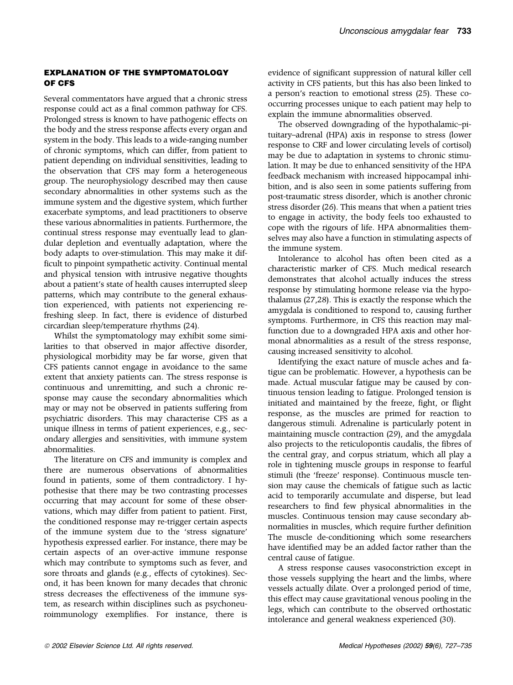## EXPLANATION OF THE SYMPTOMATOLOGY OF CFS

Several commentators have argued that a chronic stress response could act as a final common pathway for CFS. Prolonged stress is known to have pathogenic effects on the body and the stress response affects every organ and system in the body. This leads to a wide-ranging number of chronic symptoms, which can differ, from patient to patient depending on individual sensitivities, leading to the observation that CFS may form a heterogeneous group. The neurophysiology described may then cause secondary abnormalities in other systems such as the immune system and the digestive system, which further exacerbate symptoms, and lead practitioners to observe these various abnormalities in patients. Furthermore, the continual stress response may eventually lead to glandular depletion and eventually adaptation, where the body adapts to over-stimulation. This may make it difficult to pinpoint sympathetic activity. Continual mental and physical tension with intrusive negative thoughts about a patient's state of health causes interrupted sleep patterns, which may contribute to the general exhaustion experienced, with patients not experiencing refreshing sleep. In fact, there is evidence of disturbed circardian sleep/temperature rhythms (24).

Whilst the symptomatology may exhibit some similarities to that observed in major affective disorder, physiological morbidity may be far worse, given that CFS patients cannot engage in avoidance to the same extent that anxiety patients can. The stress response is continuous and unremitting, and such a chronic response may cause the secondary abnormalities which may or may not be observed in patients suffering from psychiatric disorders. This may characterise CFS as a unique illness in terms of patient experiences, e.g., secondary allergies and sensitivities, with immune system abnormalities.

The literature on CFS and immunity is complex and there are numerous observations of abnormalities found in patients, some of them contradictory. I hypothesise that there may be two contrasting processes occurring that may account for some of these observations, which may differ from patient to patient. First, the conditioned response may re-trigger certain aspects of the immune system due to the 'stress signature' hypothesis expressed earlier. For instance, there may be certain aspects of an over-active immune response which may contribute to symptoms such as fever, and sore throats and glands (e.g., effects of cytokines). Second, it has been known for many decades that chronic stress decreases the effectiveness of the immune system, as research within disciplines such as psychoneuroimmunology exemplifies. For instance, there is

evidence of significant suppression of natural killer cell activity in CFS patients, but this has also been linked to a person's reaction to emotional stress (25). These cooccurring processes unique to each patient may help to explain the immune abnormalities observed.

The observed downgrading of the hypothalamic–pituitary–adrenal (HPA) axis in response to stress (lower response to CRF and lower circulating levels of cortisol) may be due to adaptation in systems to chronic stimulation. It may be due to enhanced sensitivity of the HPA feedback mechanism with increased hippocampal inhibition, and is also seen in some patients suffering from post-traumatic stress disorder, which is another chronic stress disorder (26). This means that when a patient tries to engage in activity, the body feels too exhausted to cope with the rigours of life. HPA abnormalities themselves may also have a function in stimulating aspects of the immune system.

Intolerance to alcohol has often been cited as a characteristic marker of CFS. Much medical research demonstrates that alcohol actually induces the stress response by stimulating hormone release via the hypothalamus (27,28). This is exactly the response which the amygdala is conditioned to respond to, causing further symptoms. Furthermore, in CFS this reaction may malfunction due to a downgraded HPA axis and other hormonal abnormalities as a result of the stress response, causing increased sensitivity to alcohol.

Identifying the exact nature of muscle aches and fatigue can be problematic. However, a hypothesis can be made. Actual muscular fatigue may be caused by continuous tension leading to fatigue. Prolonged tension is initiated and maintained by the freeze, fight, or flight response, as the muscles are primed for reaction to dangerous stimuli. Adrenaline is particularly potent in maintaining muscle contraction (29), and the amygdala also projects to the reticulopontis caudalis, the fibres of the central gray, and corpus striatum, which all play a role in tightening muscle groups in response to fearful stimuli (the 'freeze' response). Continuous muscle tension may cause the chemicals of fatigue such as lactic acid to temporarily accumulate and disperse, but lead researchers to find few physical abnormalities in the muscles. Continuous tension may cause secondary abnormalities in muscles, which require further definition The muscle de-conditioning which some researchers have identified may be an added factor rather than the central cause of fatigue.

A stress response causes vasoconstriction except in those vessels supplying the heart and the limbs, where vessels actually dilate. Over a prolonged period of time, this effect may cause gravitational venous pooling in the legs, which can contribute to the observed orthostatic intolerance and general weakness experienced (30).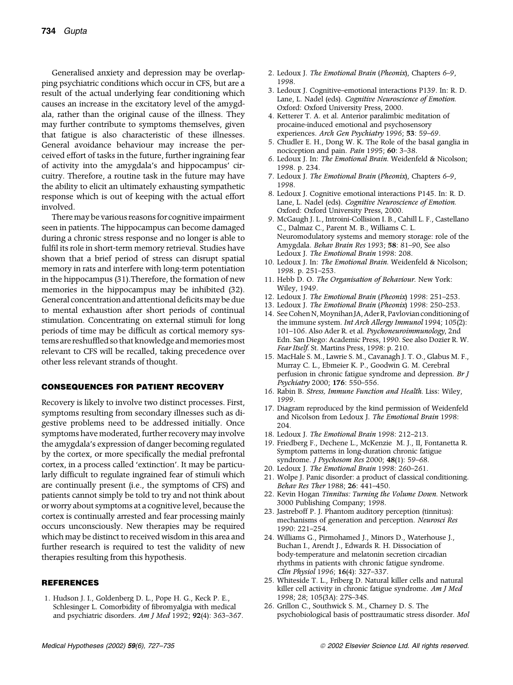Generalised anxiety and depression may be overlapping psychiatric conditions which occur in CFS, but are a result of the actual underlying fear conditioning which causes an increase in the excitatory level of the amygdala, rather than the original cause of the illness. They may further contribute to symptoms themselves, given that fatigue is also characteristic of these illnesses. General avoidance behaviour may increase the perceived effort of tasks in the future, further ingraining fear of activity into the amygdala's and hippocampus' circuitry. Therefore, a routine task in the future may have the ability to elicit an ultimately exhausting sympathetic response which is out of keeping with the actual effort involved.

There may be various reasons for cognitive impairment seen in patients. The hippocampus can become damaged during a chronic stress response and no longer is able to fulfil its role in short-term memory retrieval. Studies have shown that a brief period of stress can disrupt spatial memory in rats and interfere with long-term potentiation in the hippocampus (31).Therefore, the formation of new memories in the hippocampus may be inhibited (32). General concentration and attentional deficits may be due to mental exhaustion after short periods of continual stimulation. Concentrating on external stimuli for long periods of time may be difficult as cortical memory systems are reshuffled so that knowledge and memories most relevant to CFS will be recalled, taking precedence over other less relevant strands of thought.

#### CONSEQUENCES FOR PATIENT RECOVERY

Recovery is likely to involve two distinct processes. First, symptoms resulting from secondary illnesses such as digestive problems need to be addressed initially. Once symptoms have moderated, further recovery may involve the amygdala's expression of danger becoming regulated by the cortex, or more specifically the medial prefrontal cortex, in a process called 'extinction'. It may be particularly difficult to regulate ingrained fear of stimuli which are continually present (i.e., the symptoms of CFS) and patients cannot simply be told to try and not think about or worry about symptoms at a cognitive level, because the cortex is continually arrested and fear processing mainly occurs unconsciously. New therapies may be required which may be distinct to received wisdom in this area and further research is required to test the validity of new therapies resulting from this hypothesis.

## REFERENCES

1. Hudson J. I., Goldenberg D. L., Pope H. G., Keck P. E., Schlesinger L. Comorbidity of fibromyalgia with medical and psychiatric disorders. Am J Med 1992; 92(4): 363–367.

- 2. Ledoux J. The Emotional Brain (Pheonix), Chapters 6–9, 1998.
- 3. Ledoux J. Cognitive–emotional interactions P139. In: R. D. Lane, L. Nadel (eds). Cognitive Neuroscience of Emotion. Oxford: Oxford University Press, 2000.
- 4. Ketterer T. A. et al. Anterior paralimbic meditation of procaine-induced emotional and psychosensory experiences. Arch Gen Psychiatry 1996; 53: 59–69.
- 5. Chudler E. H., Dong W. K. The Role of the basal ganglia in nociception and pain. Pain 1995; 60: 3–38.
- 6. Ledoux J. In: The Emotional Brain. Weidenfeld & Nicolson; 1998. p. 234.
- 7. Ledoux J. The Emotional Brain (Pheonix), Chapters 6-9. 1998.
- 8. Ledoux J. Cognitive emotional interactions P145. In: R. D. Lane, L. Nadel (eds). Cognitive Neuroscience of Emotion. Oxford: Oxford University Press, 2000.
- 9. McGaugh J. L., Introini-Collision I. B., Cahill L. F., Castellano C., Dalmaz C., Parent M. B., Williams C. L. Neuromodulatory systems and memory storage: role of the Amygdala. Behav Brain Res 1993; 58: 81–90, See also Ledoux J. The Emotional Brain 1998: 208.
- 10. Ledoux J. In: The Emotional Brain. Weidenfeld & Nicolson; 1998. p. 251–253.
- 11. Hebb D. O. The Organisation of Behaviour. New York: Wiley, 1949.
- 12. Ledoux J. The Emotional Brain (Pheonix) 1998: 251–253.
- 13. Ledoux J. The Emotional Brain (Pheonix) 1998: 250–253.
- 14. See Cohen N, Moynihan JA, Ader R, Pavlovian conditioning of the immune system. *Int Arch Allergy Immunol* 1994; 105(2): 101–106. Also Ader R. et al. Psychoneuroimmunology, 2nd Edn. San Diego: Academic Press, 1990. See also Dozier R. W. Fear Itself. St. Martins Press, 1998: p. 210.
- 15. MacHale S. M., Lawrie S. M., Cavanagh J. T. O., Glabus M. F., Murray C. L., Ebmeier K. P., Goodwin G. M. Cerebral perfusion in chronic fatigue syndrome and depression. Br J Psychiatry 2000; 176: 550–556.
- 16. Rabin B. Stress, Immune Function and Health. Liss: Wiley, 1999.
- 17. Diagram reproduced by the kind permission of Weidenfeld and Nicolson from Ledoux J. The Emotional Brain 1998: 204
- 18. Ledoux J. The Emotional Brain 1998: 212-213.
- 19. Friedberg F., Dechene L., McKenzie M. J., II, Fontanetta R. Symptom patterns in long-duration chronic fatigue syndrome. J Psychosom Res 2000; 48(1): 59–68.
- 20. Ledoux J. The Emotional Brain 1998: 260-261.
- 21. Wolpe J. Panic disorder: a product of classical conditioning. Behav Res Ther 1988; 26: 441–450.
- 22. Kevin Hogan Tinnitus: Turning the Volume Down. Network 3000 Publishing Company; 1998.
- 23. Jastreboff P. J. Phantom auditory perception (tinnitus): mechanisms of generation and perception. Neurosci Res 1990: 221–254.
- 24. Williams G., Pirmohamed J., Minors D., Waterhouse J., Buchan I., Arendt J., Edwards R. H. Dissociation of body-temperature and melatonin secretion circadian rhythms in patients with chronic fatigue syndrome. Clin Physiol 1996; 16(4): 327–337.
- 25. Whiteside T. L., Friberg D. Natural killer cells and natural killer cell activity in chronic fatigue syndrome. Am J Med 1998; 28; 105(3A): 27S–34S.
- 26. Grillon C., Southwick S. M., Charney D. S. The psychobiological basis of posttraumatic stress disorder. Mol